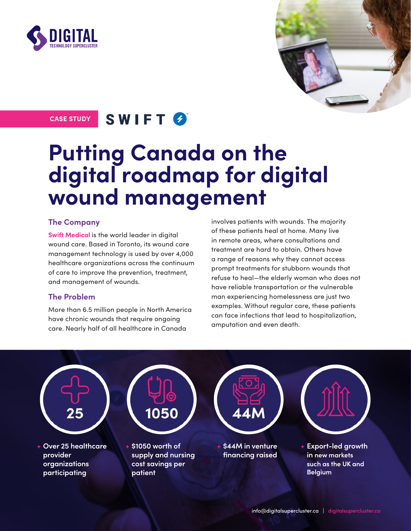



## CASE STUDY SWIFT  $\Theta$

# **Putting Canada on the digital roadmap for digital wound management**

#### **The Company**

**[Swift Medical](https://swiftmedical.com/)** is the world leader in digital wound care. Based in Toronto, its wound care management technology is used by over 4,000 healthcare organizations across the continuum of care to improve the prevention, treatment, and management of wounds.

### **The Problem**

More than 6.5 million people in North America have chronic wounds that require ongoing care. Nearly half of all healthcare in Canada

involves patients with wounds. The majority of these patients heal at home. Many live in remote areas, where consultations and treatment are hard to obtain. Others have a range of reasons why they cannot access prompt treatments for stubborn wounds that refuse to heal—the elderly woman who does not have reliable transportation or the vulnerable man experiencing homelessness are just two examples. Without regular care, these patients can face infections that lead to hospitalization, amputation and even death.